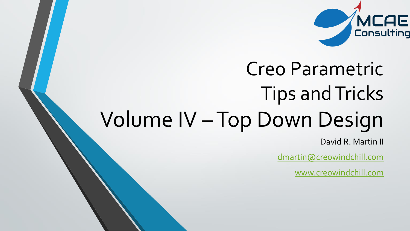

# Creo Parametric Tips and Tricks Volume IV –Top Down Design

David R. Martin II

[dmartin@creowindchill.com](mailto:dmartin@creowindchill.com)

[www.creowindchill.com](http://www.creowindchill.com/)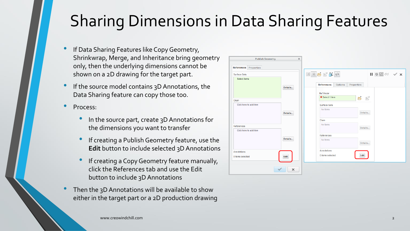# Sharing Dimensions in Data Sharing Features

- If Data Sharing Features like Copy Geometry, Shrinkwrap, Merge, and Inheritance bring geometry only, then the underlying dimensions cannot be shown on a 2D drawing for the target part.
- If the source model contains 3D Annotations, the Data Sharing feature can copy those too.
- Process:
	- In the source part, create 3D Annotations for the dimensions you want to transfer
	- If creating a Publish Geometry feature, use the **Edit** button to include selected 3D Annotations
	- If creating a Copy Geometry feature manually, click the References tab and use the Edit button to include 3D Annotations
- Then the 3D Annotations will be available to show either in the target part or a 2D production drawing

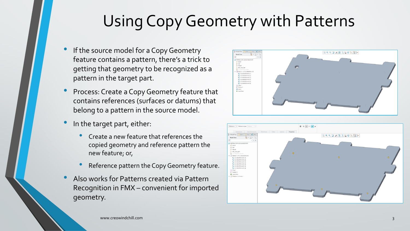# Using Copy Geometry with Patterns

- If the source model for a Copy Geometry feature contains a pattern, there's a trick to getting that geometry to be recognized as a pattern in the target part.
- Process: Create a Copy Geometry feature that contains references (surfaces or datums) that belong to a pattern in the source model.
- In the target part, either:
	- Create a new feature that references the copied geometry and reference pattern the new feature; or,
	- Reference pattern the Copy Geometry feature.
- Also works for Patterns created via Pattern Recognition in FMX – convenient for imported geometry.



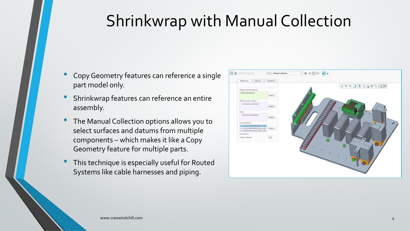# Shrinkwrap with Manual Collection

- Copy Geometry features can reference a single part model only.
- Shrinkwrap features can reference an entire assembly.
- The Manual Collection options allows you to select surfaces and datums from multiple components – which makes it like a Copy Geometry feature for multiple parts.
- This technique is especially useful for Routed Systems like cable harnesses and piping.

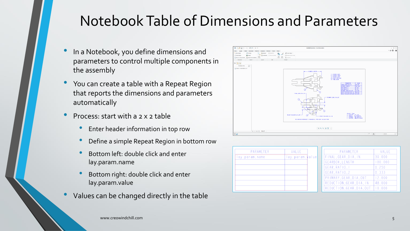### Notebook Table of Dimensions and Parameters

- In a Notebook, you define dimensions and parameters to control multiple components in the assembly
- You can create <sup>a</sup> table with <sup>a</sup> Repeat Region that reports the dimensions and parameters automatically
- Process: start with <sup>a</sup> <sup>2</sup> <sup>x</sup> <sup>2</sup> table
	- Enter header information in top row
	- Define <sup>a</sup> simple Repeat Region in bottom row
	- Bottom left: double click and enter lay.param.name
	- Bottom right: double click and enter lay.param.value
- Values can be changed directly in the table



| PARAMETER     | VALUE           |  | PARAMETER               | VALUE   |
|---------------|-----------------|--|-------------------------|---------|
| ay.param.name | lay.param.walue |  | FINAL_GEAR_DIA_IN       | 30.000  |
|               |                 |  | GEARBOX_LENGTH          | 100.000 |
|               |                 |  | GEAR_RATIO_I            | 0.250   |
|               |                 |  | GEAR RATIO <sub>2</sub> | 0.333   |
|               |                 |  | PRIMARY_GEAR_DIA_OUT    | 12.000  |
|               |                 |  | REDUCTION_GEAR_DIA_IN   | 48.000  |
|               |                 |  | REDUCTION_GEAR_DIA_OUT  | 10.000  |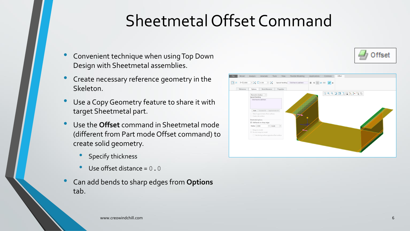# Sheetmetal Offset Command

- Convenient technique when using Top Down Design with Sheetmetal assemblies.
- Create necessary reference geometry in the Skeleton.
- Use a Copy Geometry feature to share it with target Sheetmetal part.
- Use the **Offset** command in Sheetmetal mode (different from Part mode Offset command) to create solid geometry.
	- Specify thickness
	- Use offset distance  $= 0.0$
- Can add bends to sharp edges from **Options** tab.



Offset

www.creowindchill.com 6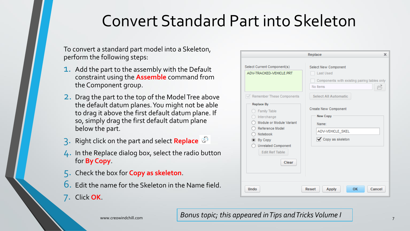### Convert Standard Part into Skeleton

To convert a standard part model into a Skeleton, perform the following steps:

- **1.** Add the part to the assembly with the Default constraint using the **Assemble** command from the Component group.
- 2. Drag the part to the top of the Model Tree above the default datum planes. You might not be able to drag it above the first default datum plane. If so, simply drag the first default datum plane below the part.
- 3. Right click on the part and select **Replace**
- 4. In the Replace dialog box, select the radio button for **By Copy**.
- 5. Check the box for **Copy as skeleton**.
- 6. Edit the name for the Skeleton in the Name field.
- 7. Click **OK**.

| Select Current Component(s)<br>ADV-TRACKED-VEHICLE.PRT                                                                                                                                                                   | Select New Component<br><b>Last Used</b><br>Components with existing pairing tables only<br>No Items             |
|--------------------------------------------------------------------------------------------------------------------------------------------------------------------------------------------------------------------------|------------------------------------------------------------------------------------------------------------------|
| Remember These Components<br>M<br><b>Replace By</b><br>Family Table<br>Interchange<br>Module or Module Variant<br>Reference Model<br>Notebook<br>By Copy<br><b>Unrelated Component</b><br><b>Edit Ref Table</b><br>Clear | <b>Select All Automatic</b><br>Create New Component<br>New Copy<br>Name:<br>ADV-VEHICLE_SKEL<br>Copy as skeleton |

#### www.creowindchill.com *Bonus topic; this appeared in Tips and Tricks Volume I* <sup>7</sup>